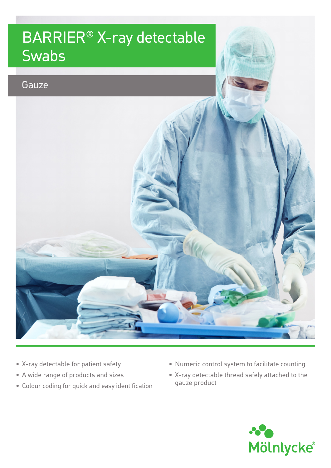## BARRIER® X-ray detectable **Swabs**



- X-ray detectable for patient safety
- A wide range of products and sizes
- Colour coding for quick and easy identification
- Numeric control system to facilitate counting
- X-ray detectable thread safely attached to the gauze product